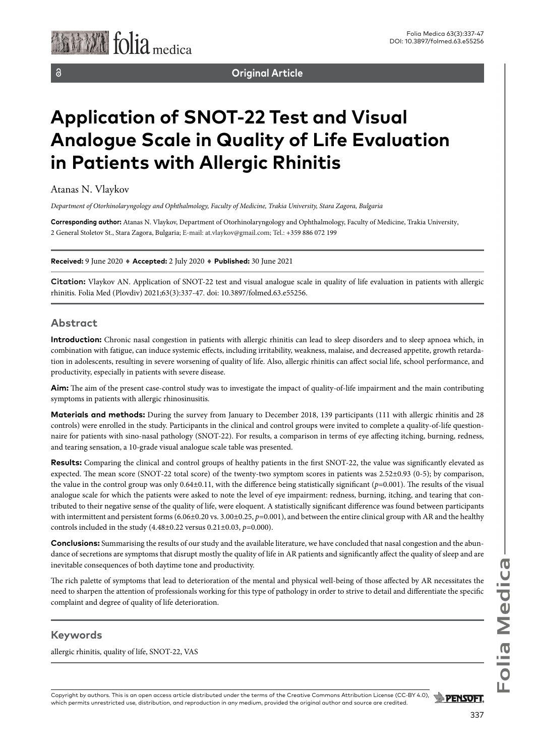**Original Article**

# **Application of SNOT-22 Test and Visual Analogue Scale in Quality of Life Evaluation in Patients with Allergic Rhinitis**

Atanas N. Vlaykov

*Department of Otorhinolaryngology and Ophthalmology, Faculty of Medicine, Trakia University, Stara Zagora, Bulgaria*

**Corresponding author:** Atanas N. Vlaykov, Department of Otorhinolaryngology and Ophthalmology, Faculty of Medicine, Trakia University, 2 General Stoletov St., Stara Zagora, Bulgaria; E-mail: at.vlaykov@gmail.com; Tel.: +359 886 072 199

#### **Received:** 9 June 2020 ♦ **Accepted:** 2 July 2020 ♦ **Published:** 30 June 2021

**Citation:** Vlaykov AN. Application of SNOT-22 test and visual analogue scale in quality of life evaluation in patients with allergic rhinitis. Folia Med (Plovdiv) 2021;63(3):337-47. doi: 10.3897/folmed.63.e55256.

#### **Abstract**

**Introduction:** Chronic nasal congestion in patients with allergic rhinitis can lead to sleep disorders and to sleep apnoea which, in combination with fatigue, can induce systemic effects, including irritability, weakness, malaise, and decreased appetite, growth retardation in adolescents, resulting in severe worsening of quality of life. Also, allergic rhinitis can affect social life, school performance, and productivity, especially in patients with severe disease.

**Aim:** The aim of the present case-control study was to investigate the impact of quality-of-life impairment and the main contributing symptoms in patients with allergic rhinosinusitis.

**Materials and methods:** During the survey from January to December 2018, 139 participants (111 with allergic rhinitis and 28 controls) were enrolled in the study. Participants in the clinical and control groups were invited to complete a quality-of-life questionnaire for patients with sino-nasal pathology (SNOT-22). For results, a comparison in terms of eye affecting itching, burning, redness, and tearing sensation, a 10-grade visual analogue scale table was presented.

**Results:** Comparing the clinical and control groups of healthy patients in the first SNOT-22, the value was significantly elevated as expected. The mean score (SNOT*-*22 total score) of the twenty-two symptom scores in patients was 2.52±0.93 (0-5); by comparison, the value in the control group was only 0.64±0.11, with the difference being statistically significant (*p*=0.001). The results of the visual analogue scale for which the patients were asked to note the level of eye impairment: redness, burning, itching, and tearing that contributed to their negative sense of the quality of life, were eloquent. A statistically significant difference was found between participants with intermittent and persistent forms (6.06±0.20 vs. 3.00±0.25, *p*=0.001), and between the entire clinical group with AR and the healthy controls included in the study (4.48±0.22 versus 0.21±0.03, *p*=0.000).

**Conclusions:** Summarising the results of our study and the available literature, we have concluded that nasal congestion and the abundance of secretions are symptoms that disrupt mostly the quality of life in AR patients and significantly affect the quality of sleep and are inevitable consequences of both daytime tone and productivity.

The rich palette of symptoms that lead to deterioration of the mental and physical well-being of those affected by AR necessitates the need to sharpen the attention of professionals working for this type of pathology in order to strive to detail and differentiate the specific complaint and degree of quality of life deterioration.

### **Keywords**

allergic rhinitis, quality of life, SNOT-22, VAS

Copyright by authors*.* This is an open access article distributed under the terms of the Creative Commons Attribution License (CC-BY 4.0), **PENSOFT.** which permits unrestricted use, distribution, and reproduction in any medium, provided the original author and source are credited.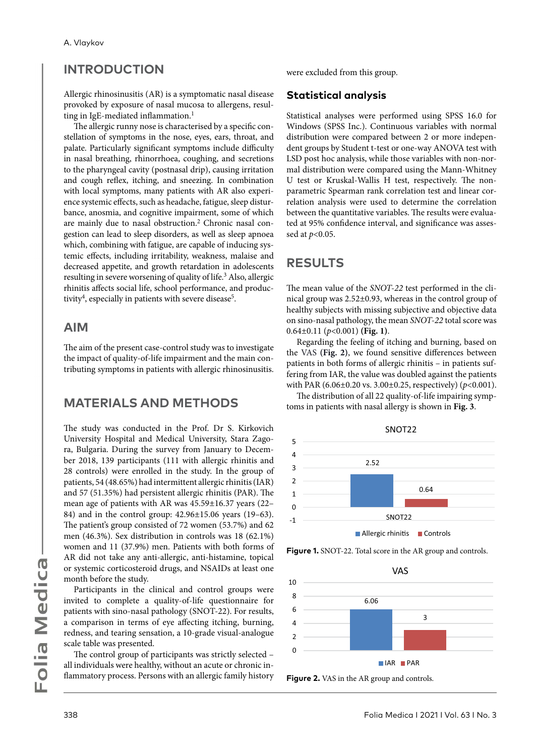# **INTRODUCTION**

Allergic rhinosinusitis (AR) is a symptomatic nasal disease provoked by exposure of nasal mucosa to allergens, resulting in IgE-mediated inflammation.<sup>1</sup>

The allergic runny nose is characterised by a specific constellation of symptoms in the nose, eyes, ears, throat, and palate. Particularly significant symptoms include difficulty in nasal breathing, rhinorrhoea, coughing, and secretions to the pharyngeal cavity (postnasal drip), causing irritation and cough reflex, itching, and sneezing. In combination with local symptoms, many patients with AR also experience systemic effects, such as headache, fatigue, sleep disturbance, anosmia, and cognitive impairment, some of which are mainly due to nasal obstruction.<sup>2</sup> Chronic nasal congestion can lead to sleep disorders, as well as sleep apnoea which, combining with fatigue, are capable of inducing systemic effects, including irritability, weakness, malaise and decreased appetite, and growth retardation in adolescents resulting in severe worsening of quality of life.<sup>3</sup> Also, allergic rhinitis affects social life, school performance, and productivity<sup>4</sup>, especially in patients with severe disease<sup>5</sup>.

# **AIM**

The aim of the present case-control study was to investigate the impact of quality-of-life impairment and the main contributing symptoms in patients with allergic rhinosinusitis.

# **MATERIALS AND METHODS**

The study was conducted in the Prof. Dr S. Kirkovich University Hospital and Medical University, Stara Zagora, Bulgaria. During the survey from January to December 2018, 139 participants (111 with allergic rhinitis and 28 controls) were enrolled in the study. In the group of patients, 54 (48.65%) had intermittent allergic rhinitis (IAR) and 57 (51.35%) had persistent allergic rhinitis (PAR). The mean age of patients with AR was 45.59±16.37 years (22– 84) and in the control group: 42.96±15.06 years (19–63). The patient's group consisted of 72 women (53.7%) and 62 men (46.3%). Sex distribution in controls was 18 (62.1%) women and 11 (37.9%) men. Patients with both forms of AR did not take any anti-allergic, anti-histamine, topical or systemic corticosteroid drugs, and NSAIDs at least one month before the study.

Participants in the clinical and control groups were invited to complete a quality-of-life questionnaire for patients with sino-nasal pathology (SNOT-22). For results, a comparison in terms of eye affecting itching, burning, redness, and tearing sensation, a 10-grade visual-analogue scale table was presented.

The control group of participants was strictly selected – all individuals were healthy, without an acute or chronic inflammatory process. Persons with an allergic family history

were excluded from this group.

### **Statistical analysis**

Statistical analyses were performed using SPSS 16.0 for Windows (SPSS Inc.). Continuous variables with normal distribution were compared between 2 or more independent groups by Student t-test or one-way ANOVA test with LSD post hoc analysis, while those variables with non-normal distribution were compared using the Mann-Whitney U test or Kruskal-Wallis H test, respectively. The nonparametric Spearman rank correlation test and linear correlation analysis were used to determine the correlation between the quantitative variables. The results were evaluated at 95% confidence interval, and significance was assessed at *p*<0.05.

# **RESULTS**

The mean value of the *SNOT-22* test performed in the clinical group was 2.52±0.93, whereas in the control group of healthy subjects with missing subjective and objective data on sino-nasal pathology, the mean *SNOT-22* total score was 0.64±0.11 (*p*<0.001) **(Fig. 1)**.

Regarding the feeling of itching and burning, based on the VAS **(Fig. 2)**, we found sensitive differences between patients in both forms of allergic rhinitis – in patients suffering from IAR, the value was doubled against the patients with PAR (6.06±0.20 vs. 3.00±0.25, respectively) (*p*<0.001).

The distribution of all 22 quality-of-life impairing symptoms in patients with nasal allergy is shown in **Fig. 3**.





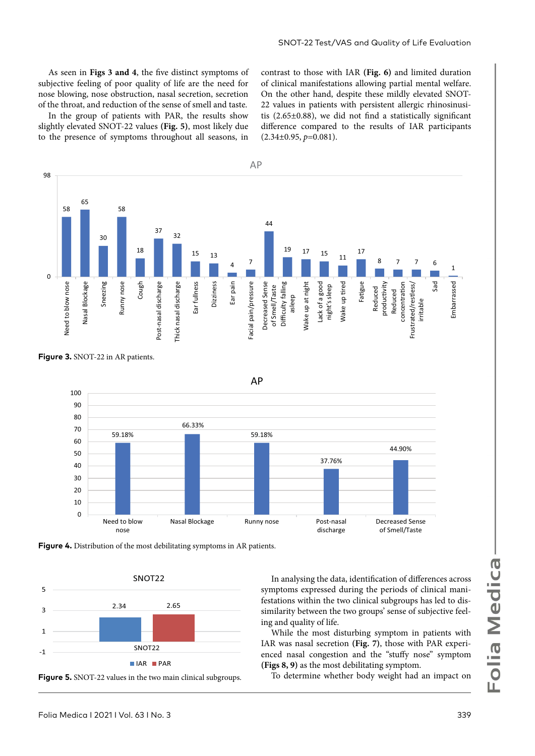As seen in **Figs 3 and 4**, the five distinct symptoms of subjective feeling of poor quality of life are the need for nose blowing, nose obstruction, nasal secretion, secretion of the throat, and reduction of the sense of smell and taste.

In the group of patients with PAR, the results show slightly elevated SNOT-22 values **(Fig. 5)**, most likely due to the presence of symptoms throughout all seasons, in

contrast to those with IAR **(Fig. 6)** and limited duration of clinical manifestations allowing partial mental welfare. On the other hand, despite these mildly elevated SNOT-22 values in patients with persistent allergic rhinosinusitis (2.65±0.88), we did not find a statistically significant difference compared to the results of IAR participants (2.34±0.95, *p*=0.081).





**Figure 4.** Distribution of the most debilitating symptoms in AR patients.



**Figure 5.** SNOT-22 values in the two main clinical subgroups.

In analysing the data, identification of differences across symptoms expressed during the periods of clinical manifestations within the two clinical subgroups has led to dissimilarity between the two groups' sense of subjective feeling and quality of life.

While the most disturbing symptom in patients with IAR was nasal secretion **(Fig. 7)**, those with PAR experienced nasal congestion and the "stuffy nose" symptom **(Figs 8, 9)** as the most debilitating symptom.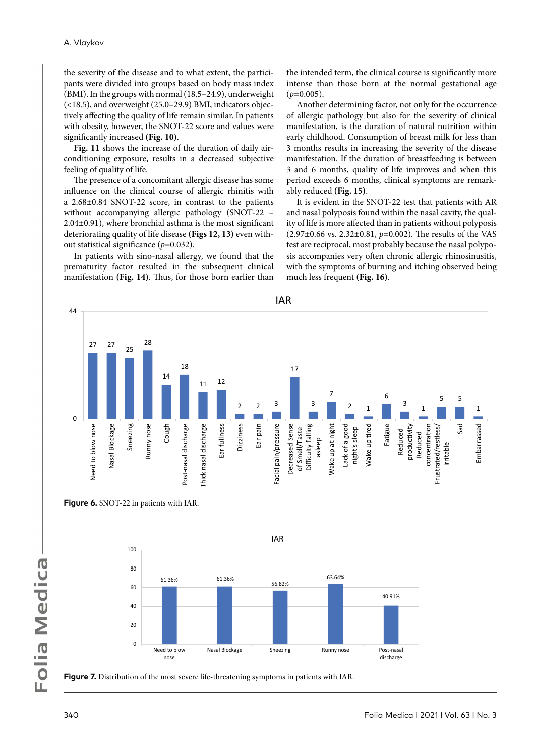the severity of the disease and to what extent, the participants were divided into groups based on body mass index (BMI). In the groups with normal (18.5–24.9), underweight (<18.5), and overweight (25.0–29.9) BMI, indicators objectively affecting the quality of life remain similar. In patients with obesity, however, the SNOT-22 score and values were significantly increased **(Fig. 10)**.

**Fig. 11** shows the increase of the duration of daily airconditioning exposure, results in a decreased subjective feeling of quality of life.

The presence of a concomitant allergic disease has some influence on the clinical course of allergic rhinitis with a 2.68±0.84 SNOT-22 score, in contrast to the patients without accompanying allergic pathology (SNOT-22 – 2.04±0.91), where bronchial asthma is the most significant deteriorating quality of life disease **(Figs 12, 13)** even without statistical significance (*p*=0.032).

In patients with sino-nasal allergy, we found that the prematurity factor resulted in the subsequent clinical manifestation **(Fig. 14)**. Thus, for those born earlier than the intended term, the clinical course is significantly more intense than those born at the normal gestational age  $(p=0.005)$ .

Another determining factor, not only for the occurrence of allergic pathology but also for the severity of clinical manifestation, is the duration of natural nutrition within early childhood. Consumption of breast milk for less than 3 months results in increasing the severity of the disease manifestation. If the duration of breastfeeding is between 3 and 6 months, quality of life improves and when this period exceeds 6 months, clinical symptoms are remarkably reduced **(Fig. 15)**.

It is evident in the SNOT-22 test that patients with AR and nasal polyposis found within the nasal cavity, the quality of life is more affected than in patients without polyposis (2.97±0.66 vs. 2.32±0.81, *p*=0.002). The results of the VAS test are reciprocal, most probably because the nasal polyposis accompanies very often chronic allergic rhinosinusitis, with the symptoms of burning and itching observed being much less frequent **(Fig. 16)**.







**Figure 7.** Distribution of the most severe life-threatening symptoms in patients with IAR.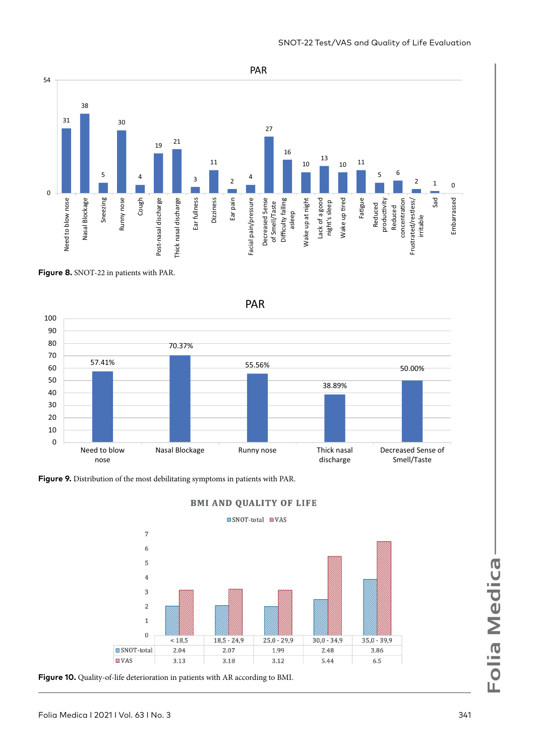

SNOT-22 Test/VAS and Quality of Life Evaluation

**Figure 8.** SNOT-22 in patients with PAR.



**Figure 9.** Distribution of the most debilitating symptoms in patients with PAR.



**BMI AND QUALITY OF LIFE** 



**Figure 10.** Quality-of-life deterioration in patients with AR according to BMI.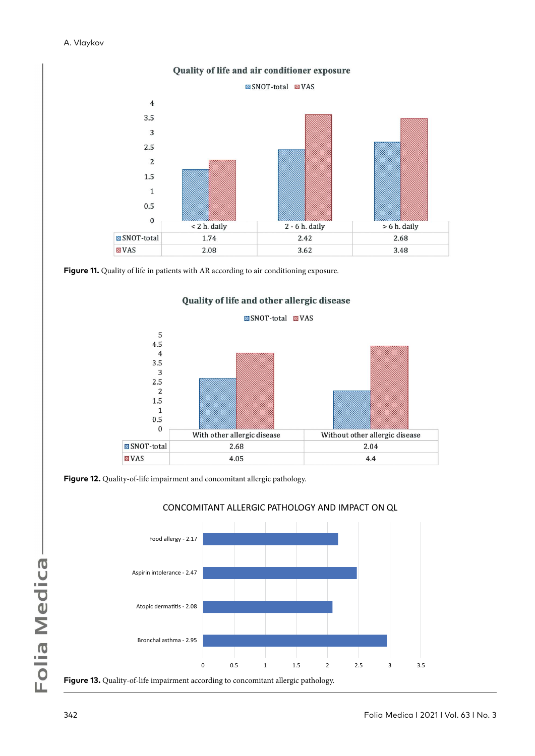

Figure 11. Quality of life in patients with AR according to air conditioning exposure.



Quality of life and other allergic disease

**Figure 12.** Quality-of-life impairment and concomitant allergic pathology.



### CONCOMITANT ALLERGIC PATHOLOGY AND IMPACT ON QL

**Figure 13.** Quality-of-life impairment according to concomitant allergic pathology.

Folia Medica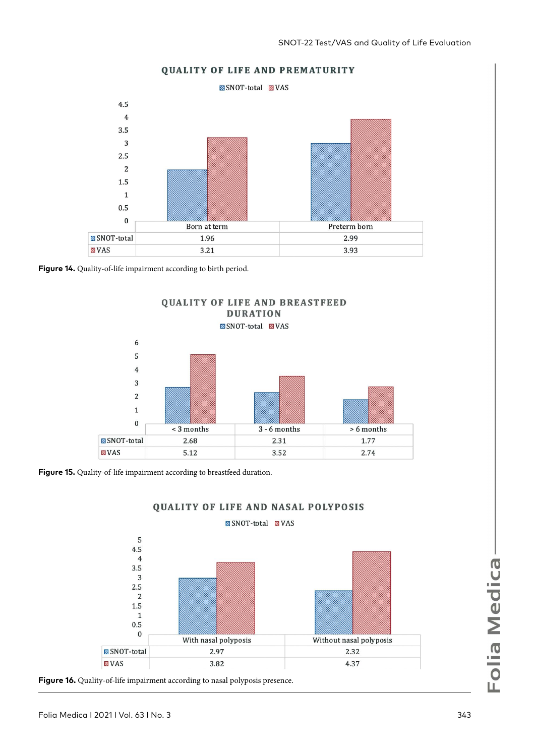

#### **QUALITY OF LIFE AND PREMATURITY**

**Figure 14.** Quality-of-life impairment according to birth period.



**Figure 15.** Quality-of-life impairment according to breastfeed duration.



# QUALITY OF LIFE AND NASAL POLYPOSIS

**Figure 16.** Quality-of-life impairment according to nasal polyposis presence.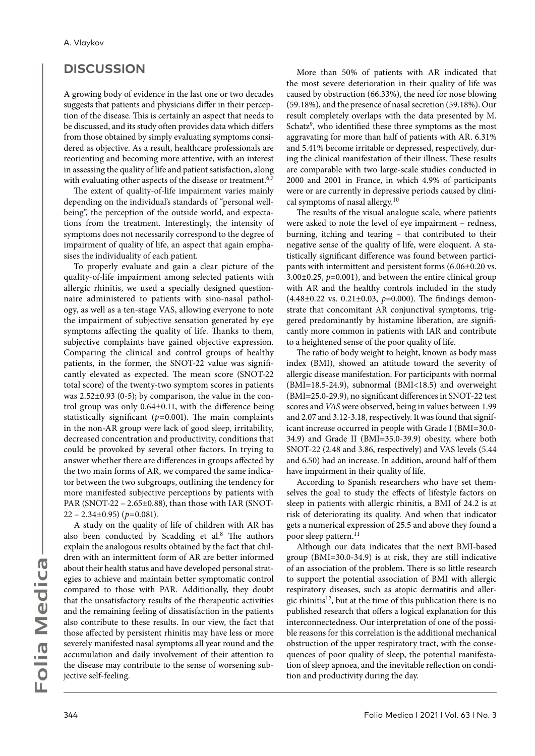# **DISCUSSION**

A growing body of evidence in the last one or two decades suggests that patients and physicians differ in their perception of the disease. This is certainly an aspect that needs to be discussed, and its study often provides data which differs from those obtained by simply evaluating symptoms considered as objective. As a result, healthcare professionals are reorienting and becoming more attentive, with an interest in assessing the quality of life and patient satisfaction, along with evaluating other aspects of the disease or treatment.<sup>6,7</sup>

The extent of quality-of-life impairment varies mainly depending on the individual's standards of "personal wellbeing", the perception of the outside world, and expectations from the treatment. Interestingly, the intensity of symptoms does not necessarily correspond to the degree of impairment of quality of life, an aspect that again emphasises the individuality of each patient.

To properly evaluate and gain a clear picture of the quality-of-life impairment among selected patients with allergic rhinitis, we used a specially designed questionnaire administered to patients with sino-nasal pathology, as well as a ten-stage VAS, allowing everyone to note the impairment of subjective sensation generated by eye symptoms affecting the quality of life. Thanks to them, subjective complaints have gained objective expression. Comparing the clinical and control groups of healthy patients, in the former, the SNOT-22 value was significantly elevated as expected. The mean score (SNOT-22 total score) of the twenty-two symptom scores in patients was 2.52±0.93 (0-5); by comparison, the value in the control group was only 0.64±0.11, with the difference being statistically significant  $(p=0.001)$ . The main complaints in the non-AR group were lack of good sleep, irritability, decreased concentration and productivity, conditions that could be provoked by several other factors. In trying to answer whether there are differences in groups affected by the two main forms of AR, we compared the same indicator between the two subgroups, outlining the tendency for more manifested subjective perceptions by patients with PAR (SNOT-22 – 2.65±0.88), than those with IAR (SNOT-22 – 2.34±0.95) (*p*=0.081).

А study on the quality of life of children with AR has also been conducted by Scadding et al.<sup>8</sup> The authors explain the analogous results obtained by the fact that children with an intermittent form of AR are better informed about their health status and have developed personal strategies to achieve and maintain better symptomatic control compared to those with PAR. Additionally, they doubt that the unsatisfactory results of the therapeutic activities and the remaining feeling of dissatisfaction in the patients also contribute to these results. In our view, the fact that those affected by persistent rhinitis may have less or more severely manifested nasal symptoms all year round and the accumulation and daily involvement of their attention to the disease may contribute to the sense of worsening subjective self-feeling.

More than 50% of patients with AR indicated that the most severe deterioration in their quality of life was caused by obstruction (66.33%), the need for nose blowing (59.18%), and the presence of nasal secretion (59.18%). Our result completely overlaps with the data presented by M. Schatz<sup>9</sup>, who identified these three symptoms as the most aggravating for more than half of patients with AR. 6.31% and 5.41% become irritable or depressed, respectively, during the clinical manifestation of their illness. These results are comparable with two large-scale studies conducted in 2000 and 2001 in France, in which 4.9% of participants were or are currently in depressive periods caused by clinical symptoms of nasal allergy.<sup>10</sup>

The results of the visual analogue scale, where patients were asked to note the level of eye impairment – redness, burning, itching and tearing – that contributed to their negative sense of the quality of life, were eloquent. A statistically significant difference was found between participants with intermittent and persistent forms (6.06±0.20 vs.  $3.00\pm0.25$ ,  $p=0.001$ ), and between the entire clinical group with AR and the healthy controls included in the study (4.48±0.22 vs. 0.21±0.03, *p*=0.000). The findings demonstrate that concomitant AR conjunctival symptoms, triggered predominantly by histamine liberation, are significantly more common in patients with IAR and contribute to a heightened sense of the poor quality of life.

The ratio of body weight to height, known as body mass index (BMI), showed an attitude toward the severity of allergic disease manifestation. For participants with normal (BMI=18.5-24.9), subnormal (BMI<18.5) and overweight (BMI=25.0-29.9), no significant differences in SNOT-22 test scores and *VAS* were observed, being in values between 1.99 and 2.07 and 3.12-3.18, respectively. It was found that significant increase occurred in people with Grade I (BMI=30.0- 34.9) and Grade II (BMI=35.0-39.9) obesity, where both SNOT-22 (2.48 and 3.86, respectively) and VAS levels (5.44 and 6.50) had an increase. In addition, around half of them have impairment in their quality of life.

According to Spanish researchers who have set themselves the goal to study the effects of lifestyle factors on sleep in patients with allergic rhinitis, a BMI of 24.2 is at risk of deteriorating its quality. And when that indicator gets a numerical expression of 25.5 and above they found a poor sleep pattern.<sup>11</sup>

Although our data indicates that the next BMI-based group (BMI=30.0-34.9) is at risk, they are still indicative of an association of the problem. There is so little research to support the potential association of BMI with allergic respiratory diseases, such as atopic dermatitis and allergic rhinitis<sup>12</sup>, but at the time of this publication there is no published research that offers a logical explanation for this interconnectedness. Our interpretation of one of the possible reasons for this correlation is the additional mechanical obstruction of the upper respiratory tract, with the consequences of poor quality of sleep, the potential manifestation of sleep apnoea, and the inevitable reflection on condition and productivity during the day.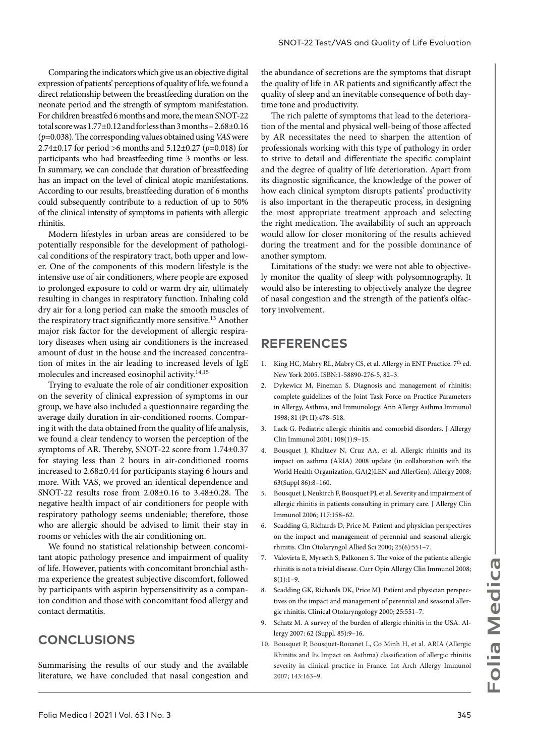Comparing the indicators which give us an objective digital expression of patients' perceptions of quality of life, we found a direct relationship between the breastfeeding duration on the neonate period and the strength of symptom manifestation. For children breastfed 6 months and more, the mean SNOT-22 total score was 1.77±0.12 and for less than 3 months – 2.68±0.16 (*p*=0.038). The corresponding values obtained using *VAS* were 2.74±0.17 for period >6 months and 5.12±0.27 (*p*=0.018) for participants who had breastfeeding time 3 months or less. In summary, we can conclude that duration of breastfeeding has an impact on the level of clinical atopic manifestations. According to our results, breastfeeding duration of 6 months could subsequently contribute to a reduction of up to 50% of the clinical intensity of symptoms in patients with allergic rhinitis.

Modern lifestyles in urban areas are considered to be potentially responsible for the development of pathological conditions of the respiratory tract, both upper and lower. One of the components of this modern lifestyle is the intensive use of air conditioners, where people are exposed to prolonged exposure to cold or warm dry air, ultimately resulting in changes in respiratory function. Inhaling cold dry air for a long period can make the smooth muscles of the respiratory tract significantly more sensitive.13 Another major risk factor for the development of allergic respiratory diseases when using air conditioners is the increased amount of dust in the house and the increased concentration of mites in the air leading to increased levels of IgE molecules and increased eosinophil activity.14,15

Trying to evaluate the role of air conditioner exposition on the severity of clinical expression of symptoms in our group, we have also included a questionnaire regarding the average daily duration in air-conditioned rooms. Comparing it with the data obtained from the quality of life analysis, we found a clear tendency to worsen the perception of the symptoms of AR. Thereby, SNOT-22 score from 1.74±0.37 for staying less than 2 hours in air-conditioned rooms increased to 2.68±0.44 for participants staying 6 hours and more. With VAS, we proved an identical dependence and SNOT-22 results rose from 2.08±0.16 to 3.48±0.28. The negative health impact of air conditioners for people with respiratory pathology seems undeniable; therefore, those who are allergic should be advised to limit their stay in rooms or vehicles with the air conditioning on.

We found no statistical relationship between concomitant atopic pathology presence and impairment of quality of life. However, patients with concomitant bronchial asthma experience the greatest subjective discomfort, followed by participants with aspirin hypersensitivity as a companion condition and those with concomitant food allergy and contact dermatitis.

# **CONCLUSIONS**

Summarising the results of our study and the available literature, we have concluded that nasal congestion and

the abundance of secretions are the symptoms that disrupt the quality of life in AR patients and significantly affect the quality of sleep and an inevitable consequence of both daytime tone and productivity.

The rich palette of symptoms that lead to the deterioration of the mental and physical well-being of those affected by AR necessitates the need to sharpen the attention of professionals working with this type of pathology in order to strive to detail and differentiate the specific complaint and the degree of quality of life deterioration. Apart from its diagnostic significance, the knowledge of the power of how each clinical symptom disrupts patients' productivity is also important in the therapeutic process, in designing the most appropriate treatment approach and selecting the right medication. The availability of such an approach would allow for closer monitoring of the results achieved during the treatment and for the possible dominance of another symptom.

Limitations of the study: we were not able to objectively monitor the quality of sleep with polysomnography. It would also be interesting to objectively analyze the degree of nasal congestion and the strength of the patient's olfactory involvement.

# **REFERENCES**

- 1. King HC, Mabry RL, Mabry CS, et al. Allergy in ENT Practice. 7<sup>th</sup> ed. New York 2005. ISBN:1-58890-276-5, 82–3.
- 2. Dykewicz M, Fineman S. Diagnosis and management of rhinitis: complete guidelines of the Joint Task Force on Practice Parameters in Allergy, Asthma, and Immunology. Ann Allergy Asthma Immunol 1998; 81 (Pt II):478–518.
- 3. Lack G. Pediatric allergic rhinitis and comorbid disorders. J Allergy Clin Immunol 2001; 108(1):9–15.
- 4. Bousquet J, Khaltaev N, Cruz AA, et al. Allergic rhinitis and its impact on asthma (ARIA) 2008 update (in collaboration with the World Health Organization, GA(2)LEN and AllerGen). Allergy 2008; 63(Suppl 86):8–160.
- 5. Bousquet J, Neukirch F, Bousquet PJ, et al. Severity and impairment of allergic rhinitis in patients consulting in primary care. J Allergy Clin Immunol 2006; 117:158–62.
- 6. Scadding G, Richards D, Price M. Patient and physician perspectives on the impact and management of perennial and seasonal allergic rhinitis. Clin Otolaryngol Allied Sci 2000; 25(6):551–7.
- 7. Valovirta E, Myrseth S, Palkonen S. The voice of the patients: allergic rhinitis is not a trivial disease. Curr Opin Allergy Clin Immunol 2008;  $8(1):1-9$ .
- 8. Scadding GK, Richards DK, Price MJ. Patient and physician perspectives on the impact and management of perennial and seasonal allergic rhinitis. Clinical Otolaryngology 2000; 25:551–7.
- Schatz M. A survey of the burden of allergic rhinitis in the USA. Allergy 2007: 62 (Suppl. 85):9–16.
- 10. Bousquet P, Bousquet-Rouanet L, Co Minh H, et al. ARIA (Allergic Rhinitis and Its Impact on Asthma) classification of allergic rhinitis severity in clinical practice in France. Int Arch Allergy Immunol 2007; 143:163–9.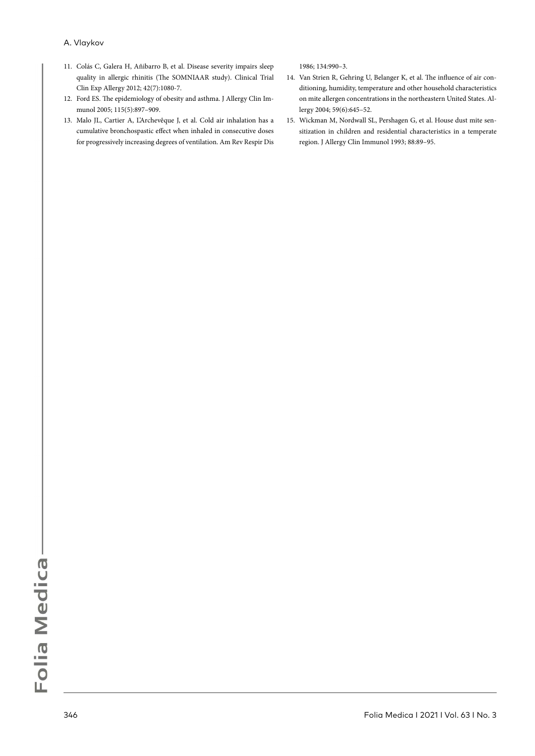- 11. Colás C, Galera H, Añibarro B, et al. Disease severity impairs sleep quality in allergic rhinitis (The SOMNIAAR study). Clinical Trial Clin Exp Allergy 2012; 42(7):1080-7.
- 12. Ford ES. The epidemiology of obesity and asthma. J Allergy Clin Immunol 2005; 115(5):897–909.
- 13. Malo JL, Cartier A, L'Archevêque J, et al. Cold air inhalation has a cumulative bronchospastic effect when inhaled in consecutive doses for progressively increasing degrees of ventilation. Am Rev Respir Dis

1986; 134:990–3.

- 14. Van Strien R, Gehring U, Belanger K, et al. The influence of air conditioning, humidity, temperature and other household characteristics on mite allergen concentrations in the northeastern United States. Allergy 2004; 59(6):645–52.
- 15. Wickman M, Nordwall SL, Pershagen G, et al. House dust mite sensitization in children and residential characteristics in a temperate region. J Allergy Clin Immunol 1993; 88:89–95.